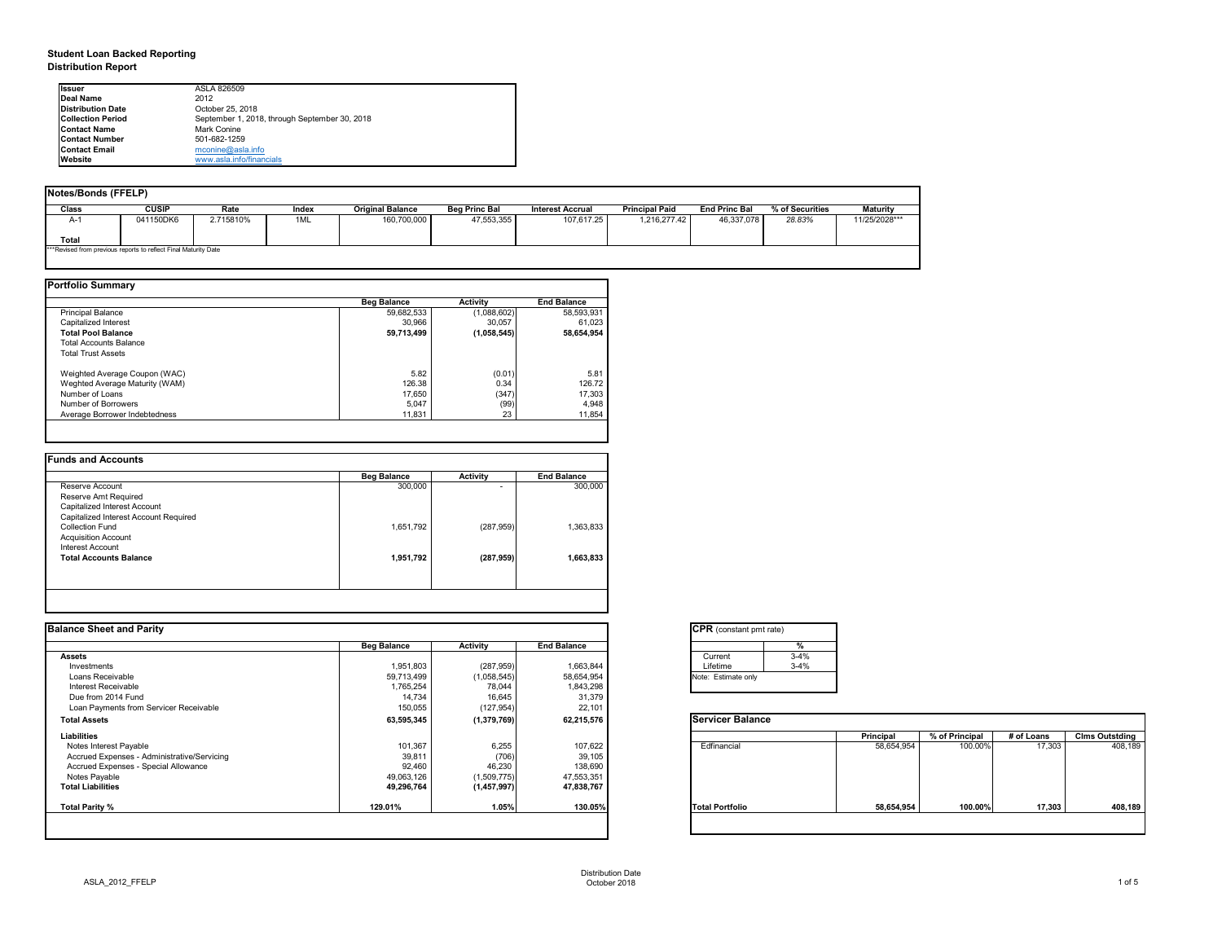## **Student Loan Backed Reporting Distribution Report**

| Notes/Bonds (FFELP) |                                                                  |           |       |                         |                      |                  |                       |                      |                 |                 |
|---------------------|------------------------------------------------------------------|-----------|-------|-------------------------|----------------------|------------------|-----------------------|----------------------|-----------------|-----------------|
| <b>Class</b>        | CUSIP                                                            | Rate      | Index | <b>Original Balance</b> | <b>Beg Princ Bal</b> | Interest Accrual | <b>Principal Paid</b> | <b>End Princ Bal</b> | % of Securities | <b>Maturity</b> |
| A-1                 | 041150DK6                                                        | 2.715810% | 1ML   | 160,700,000             | 47,553,355           | 107,617.25       | 1,216,277.42          | 46,337,078           | 28.83%          | 11/25/2028***   |
| <b>Total</b>        |                                                                  |           |       |                         |                      |                  |                       |                      |                 |                 |
|                     | *** Revised from previous reports to reflect Final Maturity Date |           |       |                         |                      |                  |                       |                      |                 |                 |

|                                | <b>Beg Balance</b> | <b>Activity</b> | <b>End Balance</b> |
|--------------------------------|--------------------|-----------------|--------------------|
| Principal Balance              | 59,682,533         | (1,088,602)     | 58,593,931         |
| <b>Capitalized Interest</b>    | 30,966             | 30,057          | 61,023             |
| <b>Total Pool Balance</b>      | 59,713,499         | (1,058,545)     | 58,654,954         |
| <b>Total Accounts Balance</b>  |                    |                 |                    |
| <b>Total Trust Assets</b>      |                    |                 |                    |
| Weighted Average Coupon (WAC)  | 5.82               | (0.01)          | 5.81               |
| Weghted Average Maturity (WAM) | 126.38             | 0.34            | 126.72             |
| Number of Loans                | 17,650             | (347)           | 17,303             |
| Number of Borrowers            | 5,047              | (99)            | 4,948              |
| Average Borrower Indebtedness  | 11,831             | 23              | 11,854             |

|                                       | <b>Beg Balance</b> | <b>Activity</b>          | <b>End Balance</b> |
|---------------------------------------|--------------------|--------------------------|--------------------|
| Reserve Account                       | 300,000            | $\overline{\phantom{0}}$ | 300,000            |
| Reserve Amt Required                  |                    |                          |                    |
| Capitalized Interest Account          |                    |                          |                    |
| Capitalized Interest Account Required |                    |                          |                    |
| <b>Collection Fund</b>                | 1,651,792          | (287, 959)               | 1,363,833          |
| <b>Acquisition Account</b>            |                    |                          |                    |
| Interest Account                      |                    |                          |                    |
| <b>Total Accounts Balance</b>         | 1,951,792          | (287, 959)               | 1,663,833          |
|                                       |                    |                          |                    |
|                                       |                    |                          |                    |

| tant pmt rate) |
|----------------|
| %              |
| $3 - 4%$       |
| $3 - 4%$       |
|                |
|                |

|      | <b>Principal</b> | % of Principal | # of Loans | <b>Clms Outstding</b> |  |  |
|------|------------------|----------------|------------|-----------------------|--|--|
| al   | 58,654,954       | 100.00%        | 17,303     | 408,189               |  |  |
| oilc | 58,654,954       | 100.00%        | 17,303     | 408,189               |  |  |

| Ilssuer                  | ASLA 826509                                   |
|--------------------------|-----------------------------------------------|
| Deal Name                | 2012                                          |
| <b>Distribution Date</b> | October 25, 2018                              |
| <b>Collection Period</b> | September 1, 2018, through September 30, 2018 |
| <b>Contact Name</b>      | <b>Mark Conine</b>                            |
| <b>Contact Number</b>    | 501-682-1259                                  |
| <b>Contact Email</b>     | mconine@asla.info                             |
| <b>Website</b>           | www.asla.info/financials                      |

|                    |                            |                           | <b>CPR</b> (constant pmt rate) |                  |                |            |                       |
|--------------------|----------------------------|---------------------------|--------------------------------|------------------|----------------|------------|-----------------------|
| <b>Beg Balance</b> | <b>Activity</b>            | <b>End Balance</b>        |                                |                  |                |            |                       |
|                    |                            |                           | $3 - 4%$<br>Current            |                  |                |            |                       |
| 1,951,803          | (287, 959)                 | 1,663,844                 | $3 - 4%$<br>Lifetime           |                  |                |            |                       |
| 59,713,499         | (1,058,545)                | 58,654,954                | Note: Estimate only            |                  |                |            |                       |
| 1,765,254          | 78,044                     | 1,843,298                 |                                |                  |                |            |                       |
|                    |                            |                           |                                |                  |                |            |                       |
| 150,055            | (127, 954)                 | 22,101                    |                                |                  |                |            |                       |
| 63,595,345         | (1,379,769)                | 62,215,576                | <b>Servicer Balance</b>        |                  |                |            |                       |
|                    |                            |                           |                                | <b>Principal</b> | % of Principal | # of Loans | <b>Clms Outstding</b> |
| 101,367            | 6,255                      |                           | Edfinancial                    | 58,654,954       | 100.00%        | 17,303     | 408,189               |
|                    |                            |                           |                                |                  |                |            |                       |
|                    |                            | 138,690                   |                                |                  |                |            |                       |
| 49,063,126         | (1,509,775)                | 47,553,351                |                                |                  |                |            |                       |
| 49,296,764         | (1,457,997)                | 47,838,767                |                                |                  |                |            |                       |
| 129.01%            | 1.05%                      | 130.05%                   | <b>Total Portfolio</b>         | 58,654,954       | 100.00%        | 17,303     | 408,189               |
|                    | 14,734<br>39,811<br>92,460 | 16,645<br>(706)<br>46,230 | 31,379<br>107,622<br>39,105    |                  |                |            |                       |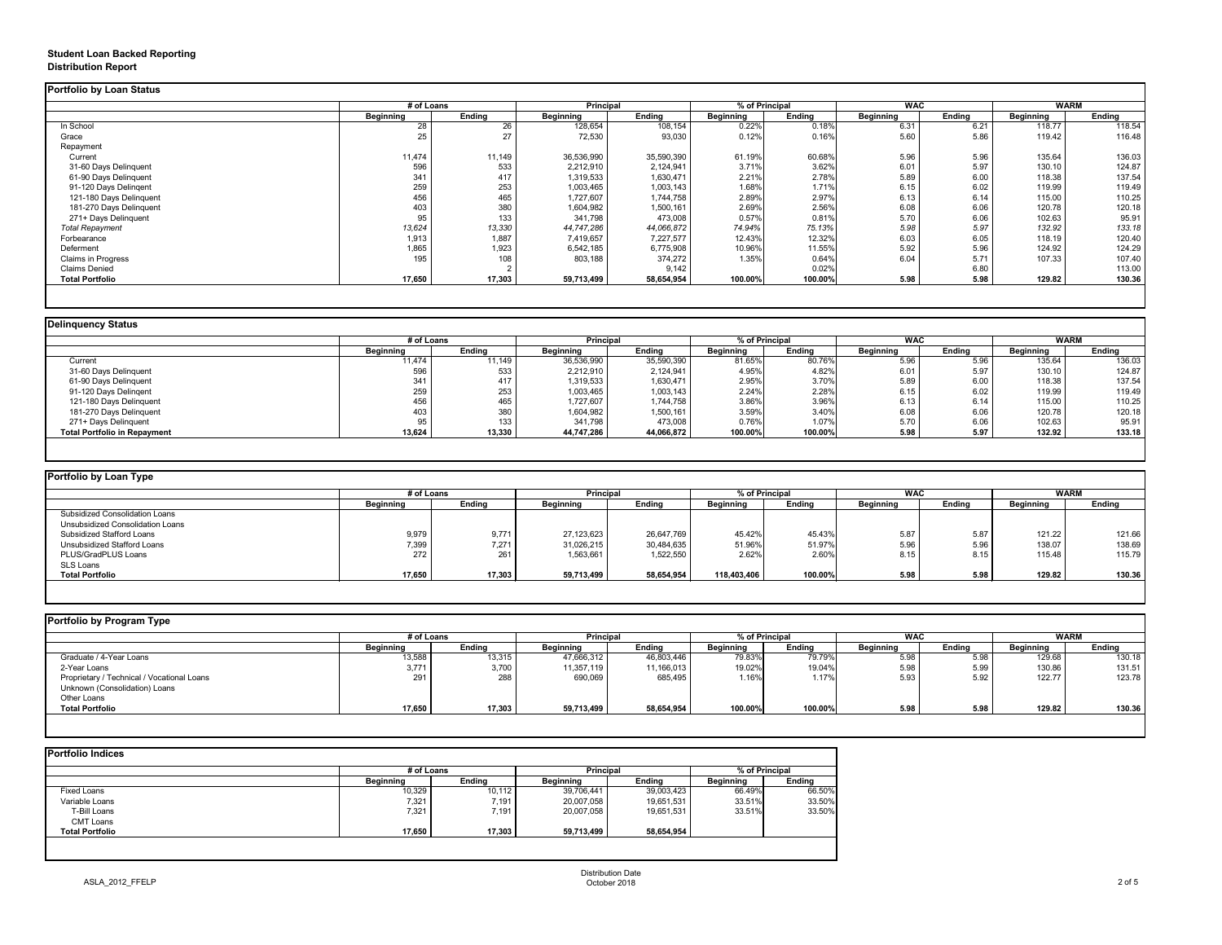## **Student Loan Backed Reporting Distribution Report**

|                           | # of Loans       |               | <b>Principal</b> |               | % of Principal   |               | <b>WAC</b>       |               | <b>WARM</b>      |               |
|---------------------------|------------------|---------------|------------------|---------------|------------------|---------------|------------------|---------------|------------------|---------------|
|                           | <b>Beginning</b> | <b>Ending</b> | <b>Beginning</b> | <b>Ending</b> | <b>Beginning</b> | <b>Ending</b> | <b>Beginning</b> | <b>Ending</b> | <b>Beginning</b> | <b>Ending</b> |
| In School                 | 28               | 26            | 128,654          | 108,154       | 0.22%            | 0.18%         | 6.31             | 6.21          | 118.77           | 118.54        |
| Grace                     | 25               | 27            | 72,530           | 93,030        | 0.12%            | 0.16%         | 5.60             | 5.86          | 119.42           | 116.48        |
| Repayment                 |                  |               |                  |               |                  |               |                  |               |                  |               |
| Current                   | 11,474           | 11,149        | 36,536,990       | 35,590,390    | 61.19%           | 60.68%        | 5.96             | 5.96          | 135.64           | 136.03        |
| 31-60 Days Delinquent     | 596              | 533           | 2,212,910        | 2,124,941     | 3.71%            | 3.62%         | 6.01             | 5.97          | 130.10           | 124.87        |
| 61-90 Days Delinquent     | 341              | 417           | 1,319,533        | 1,630,471     | 2.21%            | 2.78%         | 5.89             | 6.00          | 118.38           | 137.54        |
| 91-120 Days Delingent     | 259              | 253           | 1,003,465        | 1,003,143     | 1.68%            | 1.71%         | 6.15             | 6.02          | 119.99           | 119.49        |
| 121-180 Days Delinquent   | 456              | 465           | 1,727,607        | 1,744,758     | 2.89%            | 2.97%         | 6.13             | 6.14          | 115.00           | 110.25        |
| 181-270 Days Delinquent   | 403              | 380           | 1,604,982        | 1,500,161     | 2.69%            | 2.56%         | 6.08             | 6.06          | 120.78           | 120.18        |
| 271+ Days Delinquent      | 95               | 133           | 341,798          | 473,008       | 0.57%            | 0.81%         | 5.70             | 6.06          | 102.63           | 95.91         |
| <b>Total Repayment</b>    | 13,624           | 13,330        | 44,747,286       | 44,066,872    | 74.94%           | 75.13%        | 5.98             | 5.97          | 132.92           | 133.18        |
| Forbearance               | 1,913            | 1,887         | 7,419,657        | 7,227,577     | 12.43%           | 12.32%        | 6.03             | 6.05          | 118.19           | 120.40        |
| Deferment                 | 1,865            | 1,923         | 6,542,185        | 6,775,908     | 10.96%           | 11.55%        | 5.92             | 5.96          | 124.92           | 124.29        |
| <b>Claims in Progress</b> | 195              | 108           | 803,188          | 374,272       | 1.35%            | 0.64%         | 6.04             | 5.71          | 107.33           | 107.40        |
| <b>Claims Denied</b>      |                  |               |                  | 9,142         |                  | 0.02%         |                  | 6.80          |                  | 113.00        |
| <b>Total Portfolio</b>    | 17,650           | 17,303        | 59,713,499       | 58,654,954    | 100.00%          | 100.00%       | 5.98             | 5.98          | 129.82           | 130.36        |

|                                     | # of Loans       |               | <b>Principal</b> |               | % of Principal   |               | <b>WAC</b>       |        | <b>WARM</b>      |               |
|-------------------------------------|------------------|---------------|------------------|---------------|------------------|---------------|------------------|--------|------------------|---------------|
|                                     | <b>Beginning</b> | <b>Ending</b> | <b>Beginning</b> | <b>Ending</b> | <b>Beginning</b> | <b>Ending</b> | <b>Beginning</b> | Ending | <b>Beginning</b> | <b>Ending</b> |
| Current                             | 11,474           | 11,149        | 36,536,990       | 35,590,390    | 81.65%           | 80.76%        | 5.96             | 5.96   | 135.64           | 136.03        |
| 31-60 Days Delinquent               | 596              | 533           | 2,212,910        | 2,124,941     | 4.95%            | 4.82%         | 6.01             | 5.97   | 130.10           | 124.87        |
| 61-90 Days Delinquent               | 341              | 417           | 1,319,533        | 1,630,471     | 2.95%            | 3.70%         | 5.89             | 6.00   | 118.38           | 137.54        |
| 91-120 Days Delinqent               | 259              | 253           | 1,003,465        | 1,003,143     | 2.24%            | 2.28%         | 6.15             | 6.02   | 119.99           | 119.49        |
| 121-180 Days Delinquent             | 456              | 465           | ,727,607         | 1,744,758     | 3.86%            | 3.96%         | 6.13             | 6.14   | 115.00           | 110.25        |
| 181-270 Days Delinquent             | 403              | 380           | 1,604,982        | 1,500,161     | 3.59%            | 3.40%         | 6.08             | 6.06   | 120.78           | 120.18        |
| 271+ Days Delinquent                |                  | 133           | 341,798          | 473,008       | 0.76%            | 1.07%         | 5.70             | 6.06   | 102.63           | 95.91         |
| <b>Total Portfolio in Repayment</b> | 13,624           | 13,330        | 44,747,286       | 44,066,872    | 100.00%          | 100.00%       | 5.98             | 5.97   | 132.92           | 133.18        |

| <b>Portfolio by Loan Type</b>         |                  |               |                  |               |                  |               |                  |        |                  |               |
|---------------------------------------|------------------|---------------|------------------|---------------|------------------|---------------|------------------|--------|------------------|---------------|
|                                       | # of Loans       |               | <b>Principal</b> |               | % of Principal   |               | <b>WAC</b>       |        | <b>WARM</b>      |               |
|                                       | <b>Beginning</b> | <b>Ending</b> | <b>Beginning</b> | <b>Ending</b> | <b>Beginning</b> | <b>Ending</b> | <b>Beginning</b> | Ending | <b>Beginning</b> | <b>Ending</b> |
| <b>Subsidized Consolidation Loans</b> |                  |               |                  |               |                  |               |                  |        |                  |               |
| Unsubsidized Consolidation Loans      |                  |               |                  |               |                  |               |                  |        |                  |               |
| <b>Subsidized Stafford Loans</b>      | 9,979            | 9,771         | 27,123,623       | 26,647,769    | 45.42%           | 45.43%        | 5.87             | 5.87   | 121.22           | 121.66        |
| Unsubsidized Stafford Loans           | 7,399            | 7,271         | 31,026,215       | 30,484,635    | 51.96%           | 51.97%        | 5.96             | 5.96   | 138.07           | 138.69        |
| PLUS/GradPLUS Loans                   | 272              | 261           | 1,563,661        | 1,522,550     | 2.62%            | 2.60%         | 8.15             | 8.15   | 115.48           | 115.79        |
| SLS Loans                             |                  |               |                  |               |                  |               |                  |        |                  |               |
| <b>Total Portfolio</b>                | 17,650           | 17,303        | 59,713,499       | 58,654,954    | 118,403,406      | 100.00%       | 5.98             | 5.98   | 129.82           | 130.36        |

|                                            | # of Loans       |               | <b>Principal</b> |               | % of Principal   |               | <b>WAC</b>       |               | <b>WARM</b>      |               |
|--------------------------------------------|------------------|---------------|------------------|---------------|------------------|---------------|------------------|---------------|------------------|---------------|
|                                            | <b>Beginning</b> | <b>Ending</b> | <b>Beginning</b> | <b>Ending</b> | <b>Beginning</b> | <b>Ending</b> | <b>Beginning</b> | <b>Ending</b> | <b>Beginning</b> | <b>Ending</b> |
| Graduate / 4-Year Loans                    | 13,588           | 13,315        | 47,666,312       | 46,803,446    | 79.83%           | 79.79%        | 5.98             | 5.98          | 129.68           | 130.18        |
| 2-Year Loans                               | 3,771            | 3,700         | 11,357,119       | 11,166,013    | 19.02%           | 19.04%        | 5.98             | 5.99          | 130.86           | 131.51        |
| Proprietary / Technical / Vocational Loans | 291              | 288           | 690,069          | 685,495       | 1.16%            | 1.17%         | 5.93             | 5.92          | 122.77           | 123.78        |
| Unknown (Consolidation) Loans              |                  |               |                  |               |                  |               |                  |               |                  |               |
| Other Loans                                |                  |               |                  |               |                  |               |                  |               |                  |               |
| <b>Total Portfolio</b>                     | 17,650           | 17,303        | 59,713,499       | 58,654,954    | 100.00%          | 100.00%       | 5.98             | 5.98          | 129.82           | 130.36        |

|                        | # of Loans       | <b>Principal</b> |                  | % of Principal |                  |               |
|------------------------|------------------|------------------|------------------|----------------|------------------|---------------|
|                        | <b>Beginning</b> | <b>Ending</b>    | <b>Beginning</b> | <b>Ending</b>  | <b>Beginning</b> | <b>Ending</b> |
| <b>Fixed Loans</b>     | 10,329           | 10,112           | 39,706,441       | 39,003,423     | 66.49%           | 66.50%        |
| Variable Loans         | 7,321            | 7,191            | 20,007,058       | 19,651,531     | 33.51%           | 33.50%        |
| T-Bill Loans           | 7,321            | 7,191            | 20,007,058       | 19,651,531     | 33.51%           | 33.50%        |
| <b>CMT Loans</b>       |                  |                  |                  |                |                  |               |
| <b>Total Portfolio</b> | 17,650           | 17,303           | 59,713,499       | 58,654,954     |                  |               |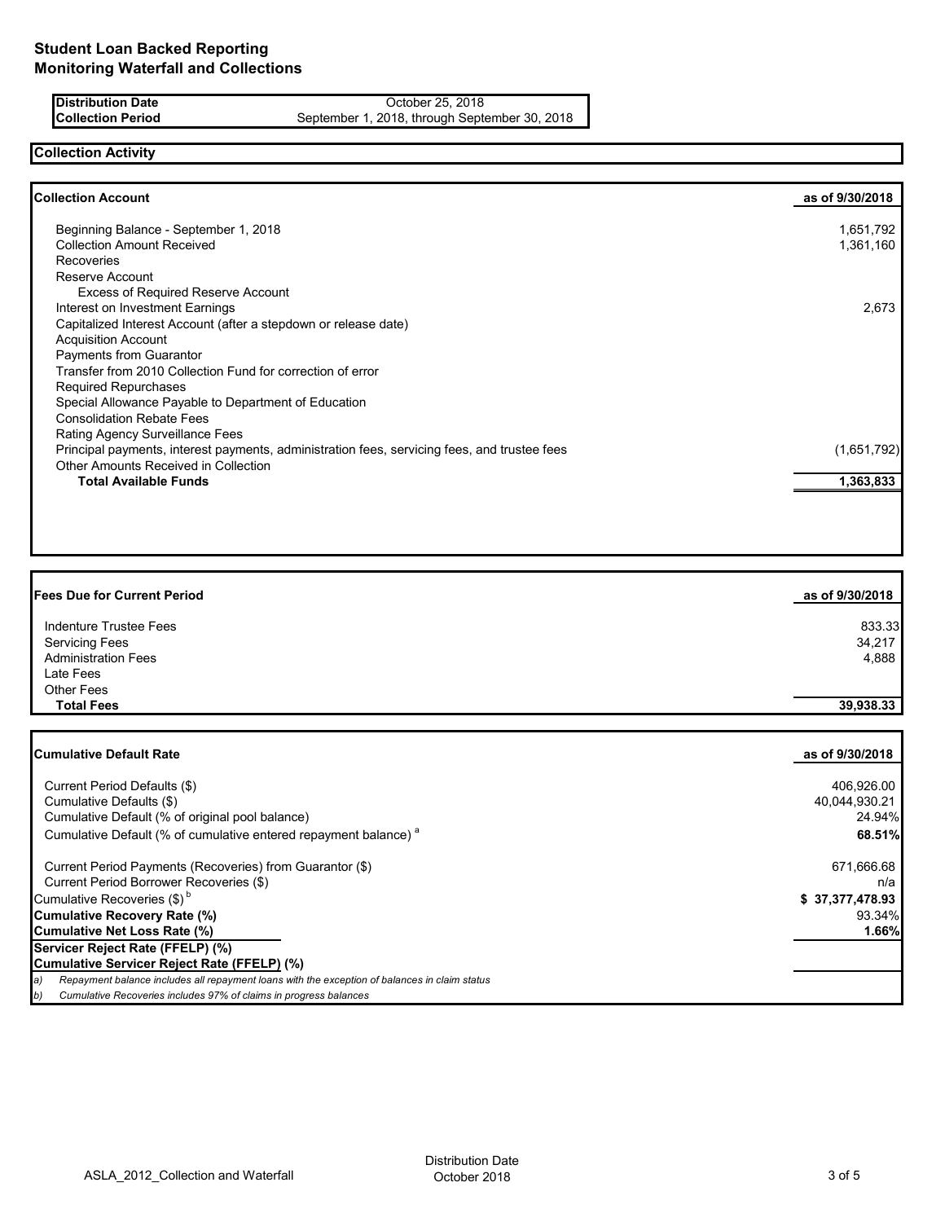**Distribution Date** October 25, 2018<br>**Collection Period** September 1, 2018, through Septe September 1, 2018, through September 30, 2018

# **Collection Activity**

| <b>Collection Account</b>                                                                    | as of 9/30/2018 |
|----------------------------------------------------------------------------------------------|-----------------|
| Beginning Balance - September 1, 2018                                                        | 1,651,792       |
| <b>Collection Amount Received</b>                                                            | 1,361,160       |
| <b>Recoveries</b>                                                                            |                 |
| Reserve Account                                                                              |                 |
| <b>Excess of Required Reserve Account</b>                                                    |                 |
| Interest on Investment Earnings                                                              | 2,673           |
| Capitalized Interest Account (after a stepdown or release date)                              |                 |
| <b>Acquisition Account</b>                                                                   |                 |
| Payments from Guarantor                                                                      |                 |
| Transfer from 2010 Collection Fund for correction of error                                   |                 |
| <b>Required Repurchases</b>                                                                  |                 |
| Special Allowance Payable to Department of Education                                         |                 |
| <b>Consolidation Rebate Fees</b>                                                             |                 |
| Rating Agency Surveillance Fees                                                              |                 |
| Principal payments, interest payments, administration fees, servicing fees, and trustee fees | (1,651,792)     |
| Other Amounts Received in Collection                                                         |                 |
| <b>Total Available Funds</b>                                                                 | 1,363,833       |

| <b>Fees Due for Current Period</b> | as of 9/30/2018 |
|------------------------------------|-----------------|
| Indenture Trustee Fees             | 833.33          |
| <b>Servicing Fees</b>              | 34,217          |
| <b>Administration Fees</b>         | 4,888           |
| Late Fees                          |                 |
| <b>Other Fees</b>                  |                 |
| <b>Total Fees</b>                  | 39,938.33       |

| Cumulative Default Rate                                                                              | as of 9/30/2018 |
|------------------------------------------------------------------------------------------------------|-----------------|
|                                                                                                      |                 |
| Current Period Defaults (\$)                                                                         | 406,926.00      |
| Cumulative Defaults (\$)                                                                             | 40,044,930.21   |
| Cumulative Default (% of original pool balance)                                                      | 24.94%          |
| Cumulative Default (% of cumulative entered repayment balance) <sup>a</sup>                          | 68.51%          |
| Current Period Payments (Recoveries) from Guarantor (\$)                                             | 671,666.68      |
| Current Period Borrower Recoveries (\$)                                                              | n/a             |
| Cumulative Recoveries (\$) <sup>b</sup>                                                              | \$37,377,478.93 |
| Cumulative Recovery Rate (%)                                                                         | 93.34%          |
| Cumulative Net Loss Rate (%)                                                                         | 1.66%           |
| Servicer Reject Rate (FFELP) (%)                                                                     |                 |
| Cumulative Servicer Reject Rate (FFELP) (%)                                                          |                 |
| Repayment balance includes all repayment loans with the exception of balances in claim status<br> a) |                 |
| b)<br>Cumulative Recoveries includes 97% of claims in progress balances                              |                 |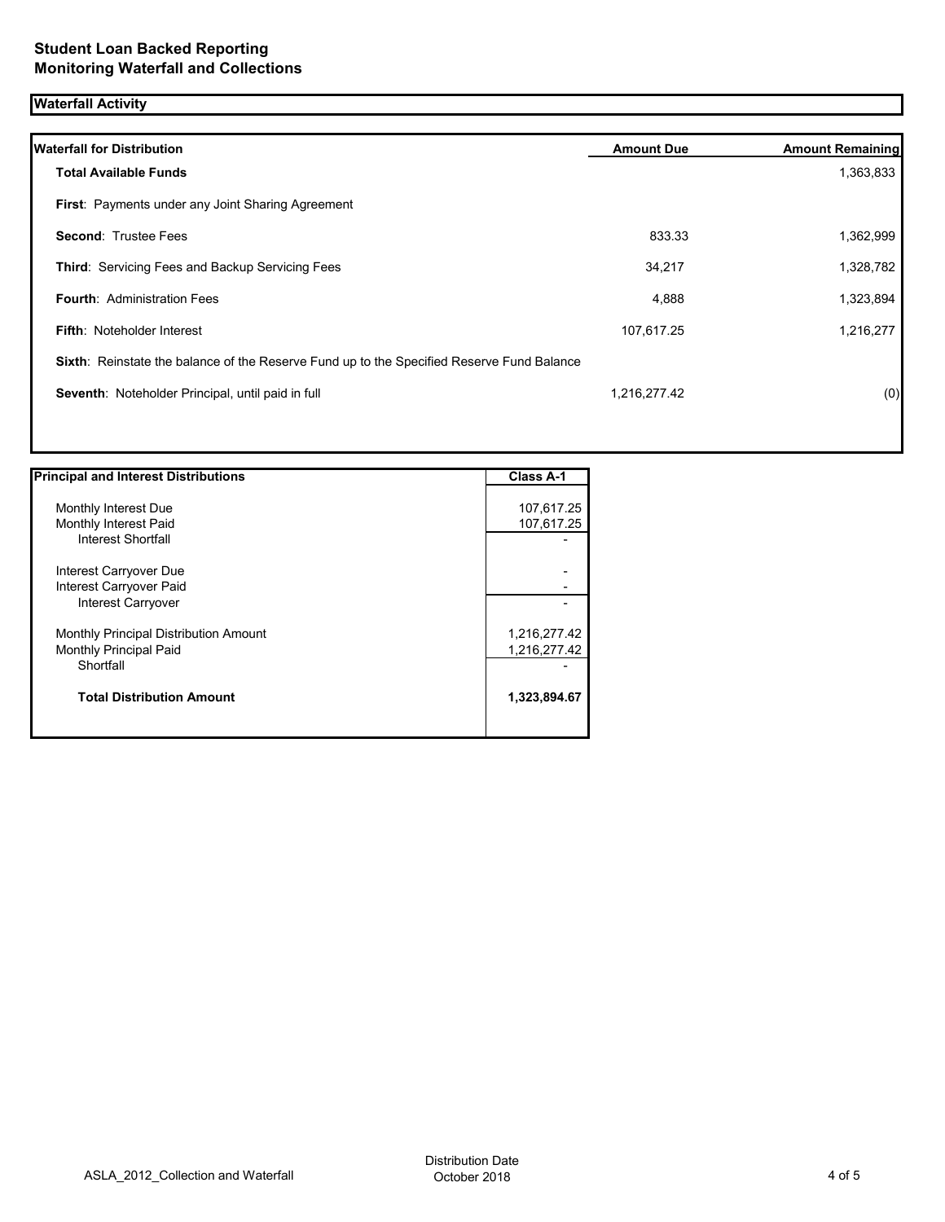## **Waterfall Activity**

| <b>Waterfall for Distribution</b>                                                         | <b>Amount Due</b> | <b>Amount Remaining</b> |
|-------------------------------------------------------------------------------------------|-------------------|-------------------------|
| <b>Total Available Funds</b>                                                              |                   | 1,363,833               |
| <b>First: Payments under any Joint Sharing Agreement</b>                                  |                   |                         |
| <b>Second: Trustee Fees</b>                                                               | 833.33            | 1,362,999               |
| Third: Servicing Fees and Backup Servicing Fees                                           | 34,217            | 1,328,782               |
| <b>Fourth: Administration Fees</b>                                                        | 4,888             | 1,323,894               |
| <b>Fifth: Noteholder Interest</b>                                                         | 107,617.25        | 1,216,277               |
| Sixth: Reinstate the balance of the Reserve Fund up to the Specified Reserve Fund Balance |                   |                         |
| Seventh: Noteholder Principal, until paid in full                                         | 1,216,277.42      | (0)                     |
|                                                                                           |                   |                         |
|                                                                                           |                   |                         |

| <b>Principal and Interest Distributions</b> | <b>Class A-1</b> |
|---------------------------------------------|------------------|
|                                             |                  |
| Monthly Interest Due                        | 107,617.25       |
| Monthly Interest Paid                       | 107,617.25       |
| Interest Shortfall                          |                  |
| Interest Carryover Due                      |                  |
| Interest Carryover Paid                     |                  |
| Interest Carryover                          |                  |
| Monthly Principal Distribution Amount       | 1,216,277.42     |
| <b>Monthly Principal Paid</b>               | 1,216,277.42     |
| Shortfall                                   |                  |
| <b>Total Distribution Amount</b>            | 1,323,894.67     |
|                                             |                  |